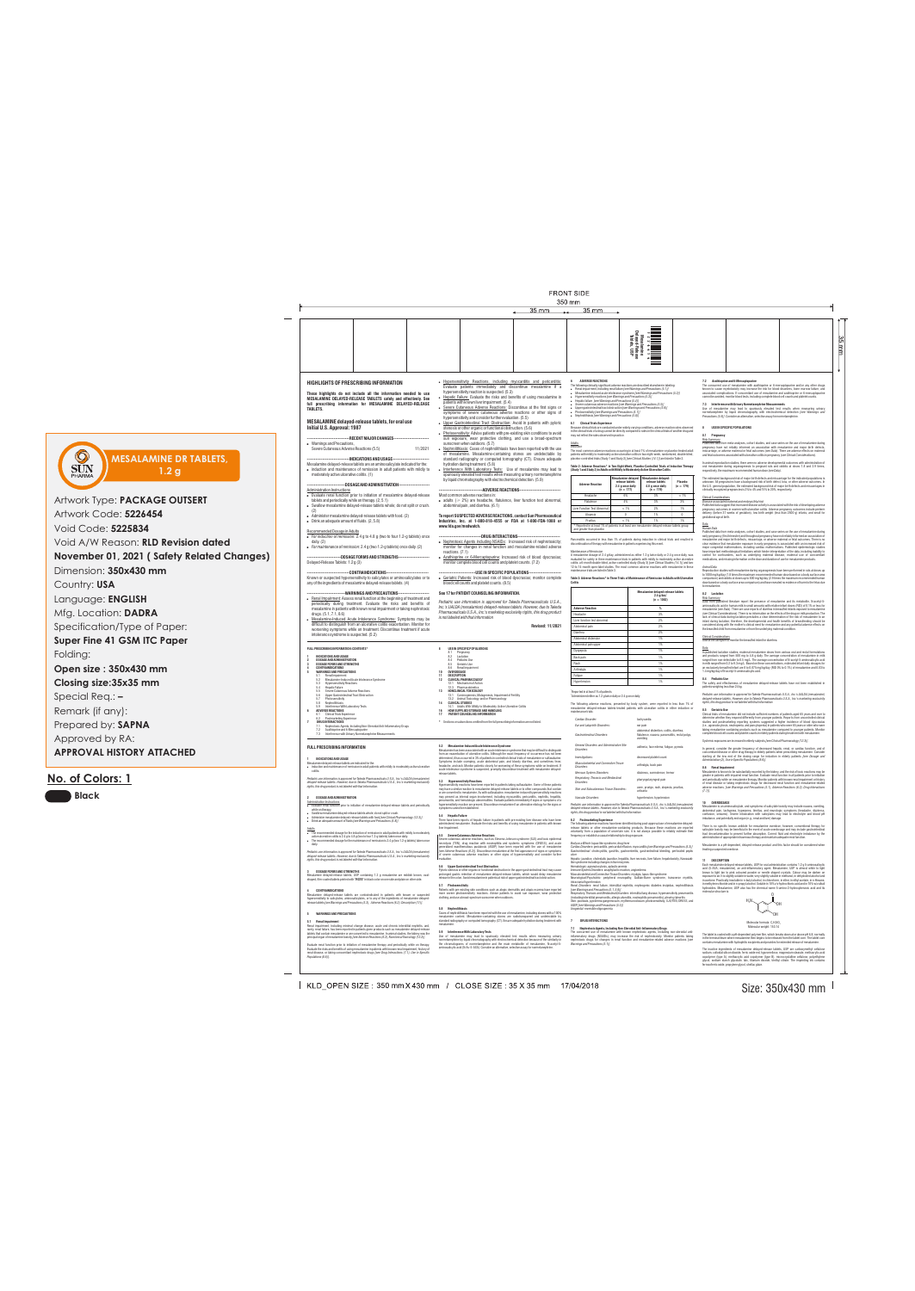Size: 350x430 mm

 $\perp$ 

moderately active ulcerative colitis. (1)

Severe Cutaneous Adverse Reactions (5.5) 11/2021 ---INDICATIONS AND USAGE----Mesalamine delayed-release tablets are an aminosalicylate indicated for the: sunscreen when outdoors. (5.7)

• induction and maintenance of remission in adult patients with mildly to

**5.1 Renal Impairment**<br>Renal impairment, including minimal change disease, acute and chronic interstitial nephritis, and, rarely, renal failure, has been reported in patients given products such as mesalamine delayed-release tablets that contain mesalamine or are converted to mesalamine. In animal studies, the kidney was the principal organ of mesalamine toxicity *[see Adverse Reactions (6.2), Nonclinical Toxicology (13.2)]*.

Use of mesalamine may lead to spuriously elevated test results when measuring urinary normetanephrine by liquid chromatography with electrochemical detection because of the similarity in the chromatograms of normetanephrine and the main metabolite of mesalamine, N-acetyl-5 aminosalicylic acid (N-Ac-5-ASA). Consider an alternative, selective assay for normetal

# **FRONT SIDE**

|                                                                                                                                                                                                                                                                       | 35 mm                                                                                                                                                                                                                                                                                                                                                                                                                                                              | 350 mm<br>$35 \text{ mm}$                                                                                                                                                                                                                                                                                                                                                                                                                                                                                                                                                                                                                                                                                                  |                                                                                                                                                                                                                                                                                                                                                                                                                                                                                                                                                                                                                                                                                                                                                                                             |
|-----------------------------------------------------------------------------------------------------------------------------------------------------------------------------------------------------------------------------------------------------------------------|--------------------------------------------------------------------------------------------------------------------------------------------------------------------------------------------------------------------------------------------------------------------------------------------------------------------------------------------------------------------------------------------------------------------------------------------------------------------|----------------------------------------------------------------------------------------------------------------------------------------------------------------------------------------------------------------------------------------------------------------------------------------------------------------------------------------------------------------------------------------------------------------------------------------------------------------------------------------------------------------------------------------------------------------------------------------------------------------------------------------------------------------------------------------------------------------------------|---------------------------------------------------------------------------------------------------------------------------------------------------------------------------------------------------------------------------------------------------------------------------------------------------------------------------------------------------------------------------------------------------------------------------------------------------------------------------------------------------------------------------------------------------------------------------------------------------------------------------------------------------------------------------------------------------------------------------------------------------------------------------------------------|
|                                                                                                                                                                                                                                                                       |                                                                                                                                                                                                                                                                                                                                                                                                                                                                    | ខ្លួនីទី                                                                                                                                                                                                                                                                                                                                                                                                                                                                                                                                                                                                                                                                                                                   |                                                                                                                                                                                                                                                                                                                                                                                                                                                                                                                                                                                                                                                                                                                                                                                             |
| <b>HIGHLIGHTS OF PRESCRIBING INFORMATION</b><br>These highlights do not include all the information needed to use<br>MESALAMINE DELAYED-RELEASE TABLETS safely and effectively. See<br>full prescribing information for MESALAMINE DELAYED-RELEASE<br><b>TABLETS.</b> | • Hypersensitivity Reactions, including myocarditis and pericarditis:<br>Evaluate patients immediately and discontinue mesalamine if a<br>hypersensitivity reaction is suspected. (5.3)<br>• Hepatic Failure: Evaluate the risks and benefits of using mesalamine in<br>patients with known liver impairment. (5.4)<br>• Severe Cutaneous Adverse Reactions: Discontinue at the first signs or<br>symptoms of severe cutaneous adverse reactions or other signs of | <b>ADVERSE REACTIONS</b><br>The following clinically significant adverse reactions are described elsewhere in labeling:<br>• Renal impairment, including renal failure [see Warnings and Precautions (5.1)]<br>• Mesalamine-induced acute intolerance syndrome [see Warnings and Precautions (5.2)]<br>• Hypersensitivity reactions [see Warnings and Precautions (5.3)]<br>• Hepatic failure [see Warnings and Precautions (5.4)]<br>• Severe cutaneous adverse reactions (see Warnings and Precautions (5.5)]<br>• Upper gastrointestinal tract obstruction [see Warnings and Precautions $(5.6)$ ]<br>• Photosensitivity [see Warnings and Precautions (5.7)]<br>• Nephrolithiasis [see Warnings and Precautions (5.8)] | 7.2 Azathioprine and 6-Mercaptopurine<br>The concurrent use of mesalamine with azathioprine or 6-mercaptopurine and/or any other drugs<br>known to cause myelotoxicity may increase the risk for blood disorders, bone marrow failure, and<br>associated complications. If concomitant use of mesalamine and azathioprine or 6-mercaptopurine<br>cannot be avoided, monitor blood tests, including complete blood cell counts and platelet counts.<br>7.3 Interference with Urinary Normetanephrine Measurements<br>Use of mesalamine may lead to spuriously elevated test results when measuring urinary<br>normetanephrine by liquid chromatography with electrochemical detection (see Warnings and<br>Precautions (5.9)]. Consider an alternative, selective assay for normetanephrine. |
| MESALAMINE delayed-release tablets, for oral use<br>Initial U.S. Approval: 1987<br>------------------------------RECENT MAJOR CHANGES------------------------<br>• Warnings and Precautions,                                                                          | hypersensitivity and consider further evaluation. (5.5)<br>• Upper Gastrointestinal Tract Obstruction: Avoid in patients with pyloric<br>stenosis or other organic or functional obstruction. (5.6)<br>• Photosensitivity: Advise patients with pre-existing skin conditions to avoid<br>sun exposure, wear protective clothing, and use a broad-spectrum<br>sunscreen when outdoors. (5.7)                                                                        | 6.1 Clinical Trials Experience<br>Because clinical trials are conducted under widely varying conditions, adverse reaction rates observed<br>in the clinical trials of a drug cannot be directly compared to rates in the clinical trials of another drug and<br>may not reflect the rates observed in practice.<br><b>Adults</b>                                                                                                                                                                                                                                                                                                                                                                                           | USE IN SPECIFIC POPULATIONS<br>8.1 Pregnancy<br><b>Risk Summary</b><br>Published data from meta-analyses, cohort studies, and case series on the use of mesalamine during                                                                                                                                                                                                                                                                                                                                                                                                                                                                                                                                                                                                                   |

. Nephrolithiasis: Cases of nephrolithiasis have been reported with the use of mesalamine. Mesalamine-containing stones are undetectable by standard radiography or computed tomography (CT). Ensure adequate hydration during treatment. (5.8) . Interference With Laboratory Tests: Use of mesalamine may lead to spuriously elevated test results when measuring urinary normetanephrine by liquid chromatography with electrochemical detection. (5.9) placebo-controlled trials (Study 1 and Study 2) *[see Clinical Studies (14.1)]* are listed in Table 2. **Table 2: Adverse Reactions\* in Two Eight-Week, Placebo-Controlled Trials of Induction Therapy** 

Evaluate renal function prior to initiation of mesalamine therapy and periodically while on therapy. Evaluate the risks and benefits of using mesalamine in patients with known renal impairment, history of renal disease, or taking concomitant nephrotoxic drugs *[see Drug Interactions (7.1), Use in Specific Populations (8.6)]*.

| Pruritus                                                                                                                                                                                                                                                                       | < 1%                                                                                                                                                                                                  | 1%                                                                                                                                                                                                                                                                | 1%                                                                                                                                                                                                                                                                                                                                                                                                                                                                                                                                                                                                                                                                                                                                                                                                                                                                                                                                                                                                                                                                                                                                                                                                                                                                                                                                                                                                                                                                                                                                                                                                                      |  |
|--------------------------------------------------------------------------------------------------------------------------------------------------------------------------------------------------------------------------------------------------------------------------------|-------------------------------------------------------------------------------------------------------------------------------------------------------------------------------------------------------|-------------------------------------------------------------------------------------------------------------------------------------------------------------------------------------------------------------------------------------------------------------------|-------------------------------------------------------------------------------------------------------------------------------------------------------------------------------------------------------------------------------------------------------------------------------------------------------------------------------------------------------------------------------------------------------------------------------------------------------------------------------------------------------------------------------------------------------------------------------------------------------------------------------------------------------------------------------------------------------------------------------------------------------------------------------------------------------------------------------------------------------------------------------------------------------------------------------------------------------------------------------------------------------------------------------------------------------------------------------------------------------------------------------------------------------------------------------------------------------------------------------------------------------------------------------------------------------------------------------------------------------------------------------------------------------------------------------------------------------------------------------------------------------------------------------------------------------------------------------------------------------------------------|--|
| and greater than placebo                                                                                                                                                                                                                                                       |                                                                                                                                                                                                       |                                                                                                                                                                                                                                                                   |                                                                                                                                                                                                                                                                                                                                                                                                                                                                                                                                                                                                                                                                                                                                                                                                                                                                                                                                                                                                                                                                                                                                                                                                                                                                                                                                                                                                                                                                                                                                                                                                                         |  |
| <b>Maintenance of Remission</b>                                                                                                                                                                                                                                                |                                                                                                                                                                                                       |                                                                                                                                                                                                                                                                   |                                                                                                                                                                                                                                                                                                                                                                                                                                                                                                                                                                                                                                                                                                                                                                                                                                                                                                                                                                                                                                                                                                                                                                                                                                                                                                                                                                                                                                                                                                                                                                                                                         |  |
|                                                                                                                                                                                                                                                                                |                                                                                                                                                                                                       |                                                                                                                                                                                                                                                                   |                                                                                                                                                                                                                                                                                                                                                                                                                                                                                                                                                                                                                                                                                                                                                                                                                                                                                                                                                                                                                                                                                                                                                                                                                                                                                                                                                                                                                                                                                                                                                                                                                         |  |
|                                                                                                                                                                                                                                                                                |                                                                                                                                                                                                       | $(n = 1082)$                                                                                                                                                                                                                                                      |                                                                                                                                                                                                                                                                                                                                                                                                                                                                                                                                                                                                                                                                                                                                                                                                                                                                                                                                                                                                                                                                                                                                                                                                                                                                                                                                                                                                                                                                                                                                                                                                                         |  |
|                                                                                                                                                                                                                                                                                |                                                                                                                                                                                                       |                                                                                                                                                                                                                                                                   |                                                                                                                                                                                                                                                                                                                                                                                                                                                                                                                                                                                                                                                                                                                                                                                                                                                                                                                                                                                                                                                                                                                                                                                                                                                                                                                                                                                                                                                                                                                                                                                                                         |  |
|                                                                                                                                                                                                                                                                                |                                                                                                                                                                                                       |                                                                                                                                                                                                                                                                   |                                                                                                                                                                                                                                                                                                                                                                                                                                                                                                                                                                                                                                                                                                                                                                                                                                                                                                                                                                                                                                                                                                                                                                                                                                                                                                                                                                                                                                                                                                                                                                                                                         |  |
|                                                                                                                                                                                                                                                                                |                                                                                                                                                                                                       |                                                                                                                                                                                                                                                                   |                                                                                                                                                                                                                                                                                                                                                                                                                                                                                                                                                                                                                                                                                                                                                                                                                                                                                                                                                                                                                                                                                                                                                                                                                                                                                                                                                                                                                                                                                                                                                                                                                         |  |
|                                                                                                                                                                                                                                                                                |                                                                                                                                                                                                       |                                                                                                                                                                                                                                                                   |                                                                                                                                                                                                                                                                                                                                                                                                                                                                                                                                                                                                                                                                                                                                                                                                                                                                                                                                                                                                                                                                                                                                                                                                                                                                                                                                                                                                                                                                                                                                                                                                                         |  |
|                                                                                                                                                                                                                                                                                |                                                                                                                                                                                                       |                                                                                                                                                                                                                                                                   |                                                                                                                                                                                                                                                                                                                                                                                                                                                                                                                                                                                                                                                                                                                                                                                                                                                                                                                                                                                                                                                                                                                                                                                                                                                                                                                                                                                                                                                                                                                                                                                                                         |  |
|                                                                                                                                                                                                                                                                                |                                                                                                                                                                                                       |                                                                                                                                                                                                                                                                   |                                                                                                                                                                                                                                                                                                                                                                                                                                                                                                                                                                                                                                                                                                                                                                                                                                                                                                                                                                                                                                                                                                                                                                                                                                                                                                                                                                                                                                                                                                                                                                                                                         |  |
|                                                                                                                                                                                                                                                                                |                                                                                                                                                                                                       |                                                                                                                                                                                                                                                                   |                                                                                                                                                                                                                                                                                                                                                                                                                                                                                                                                                                                                                                                                                                                                                                                                                                                                                                                                                                                                                                                                                                                                                                                                                                                                                                                                                                                                                                                                                                                                                                                                                         |  |
|                                                                                                                                                                                                                                                                                |                                                                                                                                                                                                       |                                                                                                                                                                                                                                                                   |                                                                                                                                                                                                                                                                                                                                                                                                                                                                                                                                                                                                                                                                                                                                                                                                                                                                                                                                                                                                                                                                                                                                                                                                                                                                                                                                                                                                                                                                                                                                                                                                                         |  |
|                                                                                                                                                                                                                                                                                |                                                                                                                                                                                                       |                                                                                                                                                                                                                                                                   |                                                                                                                                                                                                                                                                                                                                                                                                                                                                                                                                                                                                                                                                                                                                                                                                                                                                                                                                                                                                                                                                                                                                                                                                                                                                                                                                                                                                                                                                                                                                                                                                                         |  |
|                                                                                                                                                                                                                                                                                |                                                                                                                                                                                                       |                                                                                                                                                                                                                                                                   |                                                                                                                                                                                                                                                                                                                                                                                                                                                                                                                                                                                                                                                                                                                                                                                                                                                                                                                                                                                                                                                                                                                                                                                                                                                                                                                                                                                                                                                                                                                                                                                                                         |  |
| Arthralgia                                                                                                                                                                                                                                                                     |                                                                                                                                                                                                       | 1%                                                                                                                                                                                                                                                                |                                                                                                                                                                                                                                                                                                                                                                                                                                                                                                                                                                                                                                                                                                                                                                                                                                                                                                                                                                                                                                                                                                                                                                                                                                                                                                                                                                                                                                                                                                                                                                                                                         |  |
| Fatigue                                                                                                                                                                                                                                                                        |                                                                                                                                                                                                       | 1%                                                                                                                                                                                                                                                                |                                                                                                                                                                                                                                                                                                                                                                                                                                                                                                                                                                                                                                                                                                                                                                                                                                                                                                                                                                                                                                                                                                                                                                                                                                                                                                                                                                                                                                                                                                                                                                                                                         |  |
| Hypertension                                                                                                                                                                                                                                                                   |                                                                                                                                                                                                       | 1%                                                                                                                                                                                                                                                                |                                                                                                                                                                                                                                                                                                                                                                                                                                                                                                                                                                                                                                                                                                                                                                                                                                                                                                                                                                                                                                                                                                                                                                                                                                                                                                                                                                                                                                                                                                                                                                                                                         |  |
| maintenance trials:                                                                                                                                                                                                                                                            |                                                                                                                                                                                                       |                                                                                                                                                                                                                                                                   |                                                                                                                                                                                                                                                                                                                                                                                                                                                                                                                                                                                                                                                                                                                                                                                                                                                                                                                                                                                                                                                                                                                                                                                                                                                                                                                                                                                                                                                                                                                                                                                                                         |  |
| Cardiac Disorder:                                                                                                                                                                                                                                                              |                                                                                                                                                                                                       |                                                                                                                                                                                                                                                                   |                                                                                                                                                                                                                                                                                                                                                                                                                                                                                                                                                                                                                                                                                                                                                                                                                                                                                                                                                                                                                                                                                                                                                                                                                                                                                                                                                                                                                                                                                                                                                                                                                         |  |
| Ear and Labyrinth Disorders:                                                                                                                                                                                                                                                   |                                                                                                                                                                                                       |                                                                                                                                                                                                                                                                   |                                                                                                                                                                                                                                                                                                                                                                                                                                                                                                                                                                                                                                                                                                                                                                                                                                                                                                                                                                                                                                                                                                                                                                                                                                                                                                                                                                                                                                                                                                                                                                                                                         |  |
| <b>Gastrointestinal Disorders:</b>                                                                                                                                                                                                                                             |                                                                                                                                                                                                       |                                                                                                                                                                                                                                                                   |                                                                                                                                                                                                                                                                                                                                                                                                                                                                                                                                                                                                                                                                                                                                                                                                                                                                                                                                                                                                                                                                                                                                                                                                                                                                                                                                                                                                                                                                                                                                                                                                                         |  |
| Disorders:                                                                                                                                                                                                                                                                     |                                                                                                                                                                                                       |                                                                                                                                                                                                                                                                   |                                                                                                                                                                                                                                                                                                                                                                                                                                                                                                                                                                                                                                                                                                                                                                                                                                                                                                                                                                                                                                                                                                                                                                                                                                                                                                                                                                                                                                                                                                                                                                                                                         |  |
| <i>Investigations:</i>                                                                                                                                                                                                                                                         |                                                                                                                                                                                                       |                                                                                                                                                                                                                                                                   |                                                                                                                                                                                                                                                                                                                                                                                                                                                                                                                                                                                                                                                                                                                                                                                                                                                                                                                                                                                                                                                                                                                                                                                                                                                                                                                                                                                                                                                                                                                                                                                                                         |  |
| Disorders:                                                                                                                                                                                                                                                                     |                                                                                                                                                                                                       |                                                                                                                                                                                                                                                                   |                                                                                                                                                                                                                                                                                                                                                                                                                                                                                                                                                                                                                                                                                                                                                                                                                                                                                                                                                                                                                                                                                                                                                                                                                                                                                                                                                                                                                                                                                                                                                                                                                         |  |
| Nervous System Disorders:                                                                                                                                                                                                                                                      |                                                                                                                                                                                                       |                                                                                                                                                                                                                                                                   |                                                                                                                                                                                                                                                                                                                                                                                                                                                                                                                                                                                                                                                                                                                                                                                                                                                                                                                                                                                                                                                                                                                                                                                                                                                                                                                                                                                                                                                                                                                                                                                                                         |  |
| Disorders:                                                                                                                                                                                                                                                                     |                                                                                                                                                                                                       |                                                                                                                                                                                                                                                                   |                                                                                                                                                                                                                                                                                                                                                                                                                                                                                                                                                                                                                                                                                                                                                                                                                                                                                                                                                                                                                                                                                                                                                                                                                                                                                                                                                                                                                                                                                                                                                                                                                         |  |
|                                                                                                                                                                                                                                                                                |                                                                                                                                                                                                       |                                                                                                                                                                                                                                                                   |                                                                                                                                                                                                                                                                                                                                                                                                                                                                                                                                                                                                                                                                                                                                                                                                                                                                                                                                                                                                                                                                                                                                                                                                                                                                                                                                                                                                                                                                                                                                                                                                                         |  |
| Vascular Disorders:                                                                                                                                                                                                                                                            |                                                                                                                                                                                                       |                                                                                                                                                                                                                                                                   |                                                                                                                                                                                                                                                                                                                                                                                                                                                                                                                                                                                                                                                                                                                                                                                                                                                                                                                                                                                                                                                                                                                                                                                                                                                                                                                                                                                                                                                                                                                                                                                                                         |  |
| Pediatric use information is approved for Takeda Pharmaceuticals U.S.A., Inc.'s LIALDA (mesalamine)<br>delayed-release tablets. However, due to Takeda Pharmaceuticals U.S.A., Inc.'s marketing exclusivity<br>rights, this drug product is not labeled with that information. |                                                                                                                                                                                                       |                                                                                                                                                                                                                                                                   |                                                                                                                                                                                                                                                                                                                                                                                                                                                                                                                                                                                                                                                                                                                                                                                                                                                                                                                                                                                                                                                                                                                                                                                                                                                                                                                                                                                                                                                                                                                                                                                                                         |  |
|                                                                                                                                                                                                                                                                                | <b>Colitis</b><br><b>Adverse Reaction</b><br>Headache<br>Liver function test abnormal<br>Abdominal pain<br>Diarrhea<br>Abdominal distension<br>Abdominal pain upper<br>Dyspepsia<br>Back pain<br>Rash | maintenance trials are listed in Table 3.<br>Reported in at least 1% of patients<br>General Disorders and Administrative Site<br>Musculoskeletal and Connective Tissue<br>Respiratory, Thoracic and Mediastinal<br><b>Skin and Subcutaneous Tissue Disorders:</b> | * Reported in at least 1% of patients in at least one mesalamine delayed-release tablets group<br>Pancreatitis occurred in less than 1% of patients during induction in clinical trials and resulted in<br>discontinuation of therapy with mesalamine in patients experiencing this event.<br>A mesalamine dosage of 2.4 g/day, administered as either 1.2 g twice daily or 2.4 g once daily, was<br>evaluated for safety in three maintenance trials in patients with mildly to moderately active ulcerative<br>colitis: a 6-month double-blind, active-controlled study (Study 3) [see Clinical Studies (14.1)] and two<br>12-to 14-month open-label studies. The most common adverse reactions with mesalamine in these<br>Table 3: Adverse Reactions* in Three Trials of Maintenance of Remission in Adults with Ulcerative<br>Mesalamine delayed-release tablets<br>$2.4$ g/day <sup>T</sup><br>%<br>3%<br>2%<br>2%<br>2%<br>1%<br>1%<br>1%<br>1%<br>1%<br>Administered either as 1.2 g twice daily or 2.4 g once daily<br>The following adverse reactions, presented by body system, were reported in less than 1% of<br>mesalamine delayed-release tablets-treated patients with ulcerative colitis in either induction or<br>tachycardia<br>ear pain<br>abdominal distention, colitis, diarrhea,<br>flatulence, nausea, pancreatitis, rectal polyp,<br>vomiting<br>asthenia, face edema, fatigue, pyrexia<br>decreased platelet count<br>arthralgia, back pain<br>dizziness, somnolence, tremor<br>pharyngolaryngeal pain<br>acne, prurigo, rash, alopecia, pruritus,<br>urticaria<br>hypertension, hypotension |  |

Reproduction studies with mesalamine during organogenesis have been performed in rats at doses up<br>to 1000 mg/kg/day (1.8 times the maximum recommended human dose based on a body surface area<br>comparison) and rabbits at dose dose based on a body surface area comparison) and have revealed no evidence of harm to the fetus due to mesalamine.

<u>Risk Summary</u><br>Data from published literature report the presence of mesalamine and its metabolite, N-acetyl-5aminosalicylic acid in human milk in small amounts with relative infant doses (RID) of 0.1% or less for mesalamine *(see Data)*. There are case reports of diarrhea in breastfed infants exposed to mesalamine *(see Clinical Considerations)*. There is no information on the effects of the drug on milk production. The lack of clinical data during lactation precludes a clear determination of the risk of mesalamine to an infant during lactation; therefore, the developmental and health benefits of breastfeeding should be considered along with the mother's clinical need for mesalamine and any potential adverse effects on the breastfed child from mesalamine or from the underlying maternal condition.

<u>Data</u><br>In published lactation studies, maternal mesalamine doses from various oral and rectal formulations and products ranged from 500 mg to 4.8 g daily. The average concentration of mesalamine in milk ranged from non-detectable to 0.5 mg/L. The average concentration of N-acetyl-5-aminosalicylic acid in milk ranged from 0.2 to 9.3 mg/L. Based on these concentrations, estimated infant daily dosages for an exclusively breastfed infant are 0 to 0.075 mg/kg/day (RID 0% to 0.1%) of mesalamine and 0.03 to 1.4 mg/kg/day of N-acetyl-5-aminosalicylic acid.

standard radiography or computed tomography (CT). Ensure adequate hydration during treatment with mesalamine.

Pediatric use information is approved for Takeda Pharmaceuticals U.S.A., Inc.'s LIALDA (mesalamine)<br>delayed-release tablets. However, due to Takeda Pharmaceuticals U.S.A., Inc.'s marketing exclusivity *rights, this drug product is not labeled with that information.*

### **5.9 Interference With Laboratory Tests**

In general, consider the greater frequency of decreased hepatic, renal, or cardiac function, and of concomitant disease or other drug therapy in elderly patients when prescribing mesalamine. Consider starting at the low end of the dosing range for induction in elderly patients *[see Dosage and Administration (2), Use in Specific Populations (8.6)].*

**8.6 Renal Impairment**<br>Mesalamine is known to be substantially excreted by the kidney, and the risk of toxic reactions may be<br>greater in patients with impaired renal function. Evaluate renal function in all patients and periodically while on mesalamine therapy. Monitor patients with known renal impairment or history of renal disease or taking nephrotoxic drugs for decreased renal function and mesalamine-related adverse reactions. *[see Warnings and Precautions (5.1), Adverse Reactions (6.2), Drug Interactions (7.1)]*.

Mesalamine is an aminosalicylate, and symptoms of salicylate toxicity may include nausea, vomiting,<br>abdominal pain, tachypnea, hyperpnea, tinnitus, and neurologic symptoms (headache, dizziness,<br>confusion, seizures). Severe imbalance, and potentially end organ (e.g., renal and liver) damage.

### Molecular formula:  $C_7H_7NO_3$ Molecular weight: 153.14

**(Study 1 and Study 2) in Adults with Mildly to Moderately Active Ulcerative Colitis**

# <u>Risk Summary</u><br>Published data from meta-analyses, cohort studies, and case series on the use of mesalamine during pregnancy have not reliably informed an association with mesalamine and major birth defects,<br>miscarriage, or adverse maternal or fetal outcomes (see Data). There are adverse effects on maternal<br>and´fetal outcomes associate

The inactive ingredients of mesalamine delayed-release tablets, USP are carboxymethyl cellulose<br>sodium, colloidal silicon dioxide, ferric oxide red, hypromellose, magnesium stearate, methacrylic acid<br>copolymer (type A), me glycol, sodium starch glycolate, talc, titanium dioxide, triethyl citrate. The imprinting ink contains ferrosoferric oxide, propylene glycol, shellac glaze.

|                                            | ---DOSAGE AND ADMINISTRATION---------                                                                                                                                                                                                                                                                 | <u>oy nguru omomatography with olootroomomou uotootrom.</u> (0.0)                                                                                                                                                                                                                                                                                            | <b>Adverse Reaction</b>                                                                                                                                                                                                                                                                                                     | release tablets<br>2.4 g once daily | release tablets<br>4.8 g once daily                                                                     | Placebo<br>$(n = 179)$ |
|--------------------------------------------|-------------------------------------------------------------------------------------------------------------------------------------------------------------------------------------------------------------------------------------------------------------------------------------------------------|--------------------------------------------------------------------------------------------------------------------------------------------------------------------------------------------------------------------------------------------------------------------------------------------------------------------------------------------------------------|-----------------------------------------------------------------------------------------------------------------------------------------------------------------------------------------------------------------------------------------------------------------------------------------------------------------------------|-------------------------------------|---------------------------------------------------------------------------------------------------------|------------------------|
|                                            | Administration Instructions<br>• Evaluate renal function prior to initiation of mesalamine delayed-release                                                                                                                                                                                            | --ADVERSE REACTIONS-<br>Most common adverse reactions in:                                                                                                                                                                                                                                                                                                    | Headache                                                                                                                                                                                                                                                                                                                    | $(n = 177)$<br>6%                   | $(n = 179)$<br>3%                                                                                       | 1%                     |
| Artwork Type: <b>PACKAGE OUTSERT</b>       | tablets and periodically while on therapy. (2, 5.1)<br>• Swallow mesalamine delayed-release tablets whole; do not split or crush.                                                                                                                                                                     | • adults ( $\geq 2\%$ ) are headache, flatulence, liver function test abnormal.<br>abdominal pain, and diarrhea. (6.1)                                                                                                                                                                                                                                       | Flatulence<br>Liver Function Test Abnorma                                                                                                                                                                                                                                                                                   | 4%<br>$< 1\%$                       | 3%<br>2%                                                                                                | 3%<br>1%               |
| Artwork Code: 5226454                      | • Administer mesalamine delayed-release tablets with food. (2)                                                                                                                                                                                                                                        | To report SUSPECTED ADVERSE REACTIONS, contact Sun Pharmaceutical                                                                                                                                                                                                                                                                                            | Alopecia                                                                                                                                                                                                                                                                                                                    |                                     | 1%                                                                                                      | $\overline{0}$         |
| Void Code: <b>5225834</b>                  | • Drink an adequate amount of fluids. $(2, 5.8)$                                                                                                                                                                                                                                                      | Industries, Inc. at 1-800-818-4555 or FDA at 1-800-FDA-1088 or<br>www.fda.gov/medwatch.                                                                                                                                                                                                                                                                      | Pruritus<br>* Reported in at least 1% of patients in at least one mesalamine delayed-release tablets group<br>and greater than placebo                                                                                                                                                                                      | 1%                                  | 1%                                                                                                      | 1%                     |
|                                            | Recommended Dosage in Adults<br>• For induction of remission: 2.4 g to 4.8 g (two to four 1.2-g tablets) once                                                                                                                                                                                         | -------------------------------DRUG INTERACTIONS--------------------------------                                                                                                                                                                                                                                                                             | Pancreatitis occurred in less than 1% of patients during induction in clinical trials and resulted ir                                                                                                                                                                                                                       |                                     |                                                                                                         |                        |
| Void A/W Reason: <b>RLD Revision dated</b> | daily. (2)<br>• For maintenance of remission: 2.4 g (two 1.2-g tablets) once daily. (2)                                                                                                                                                                                                               | • Nephrotoxic Agents including NSAIDs: Increased risk of nephrotoxicity;<br>monitor for changes in renal function and mesalamine-related adverse                                                                                                                                                                                                             | discontinuation of therapy with mesalamine in patients experiencing this event.<br><i>Maintenance of Remission</i>                                                                                                                                                                                                          |                                     |                                                                                                         |                        |
| November 01, 2021 (Safety Related Changes) | -----------------------DOSAGE FORMS AND STRENGTHS----------------------<br>Delayed-Release Tablets: 1.2 g (3)                                                                                                                                                                                         | reactions. (7.1)<br>• Azathioprine or 6-Mercaptopurine: Increased risk of blood dyscrasias;<br>monitor complete blood cell counts and platelet counts. (7.2)                                                                                                                                                                                                 | A mesalamine dosage of 2.4 g/day, administered as either 1.2 g twice daily or 2.4 g once daily, was<br>evaluated for safety in three maintenance trials in patients with mildly to moderately active ulcerative<br>colitis: a 6-month double-blind, active-controlled study (Study 3) [see Clinical Studies (14.1)] and two |                                     |                                                                                                         |                        |
| Dimension: 350x430 mm                      | ----CONTRAINDICATIONS------------------------------                                                                                                                                                                                                                                                   | --------------------------USE IN SPECIFIC POPULATIONS-----------------------                                                                                                                                                                                                                                                                                 | 12-to 14-month open-label studies. The most common adverse reactions with mesalamine in these<br>maintenance trials are listed in Table 3.                                                                                                                                                                                  |                                     |                                                                                                         |                        |
| Country: USA                               | Known or suspected hypersensitivity to salicylates or aminosalicylates or to<br>any of the ingredients of mesalamine delayed-release tablets. (4)                                                                                                                                                     | • Geriatric Patients: Increased risk of blood dyscrasias; monitor complete<br>blood cell counts and platelet counts. (8.5)                                                                                                                                                                                                                                   | Table 3: Adverse Reactions* in Three Trials of Maintenance of Remission in Adults with Ulcerativ                                                                                                                                                                                                                            |                                     |                                                                                                         |                        |
|                                            | ----WARNINGS AND PRECAUTIONS----------------------<br>• Renal Impairment: Assess renal function at the beginning of treatment and                                                                                                                                                                     | See 17 for PATIENT COUNSELING INFORMATION.                                                                                                                                                                                                                                                                                                                   |                                                                                                                                                                                                                                                                                                                             |                                     | Mesalamine delayed-release tablets<br>$2.4$ g/day                                                       |                        |
| Language: <b>ENGLISH</b>                   | periodically during treatment. Evaluate the risks and benefits of<br>mesalamine in patients with known renal impairment or taking nephrotoxic                                                                                                                                                         | Pediatric use information is approved for Takeda Pharmaceuticals U.S.A.,<br>Inc.'s LIALDA (mesalamine) delayed-release tablets. However, due to Takeda                                                                                                                                                                                                       | <b>Adverse Reaction</b>                                                                                                                                                                                                                                                                                                     |                                     | $(n = 1082)$<br>%                                                                                       |                        |
| Mfg. Location: DADRA                       | drugs. $(5.1, 7.1, 8.6)$<br>• Mesalamine-Induced Acute Intolerance Syndrome: Symptoms may be                                                                                                                                                                                                          | Pharmaceuticals U.S.A., Inc.'s marketing exclusivity rights, this drug product<br>is not labeled with that information                                                                                                                                                                                                                                       | Headache<br>Liver function test abnormal                                                                                                                                                                                                                                                                                    |                                     | 3%<br>2%                                                                                                |                        |
| Specification/Type of Paper:               | difficult to distinguish from an ulcerative colitis exacerbation. Monitor for<br>worsening symptoms while on treatment. Discontinue treatment if acute                                                                                                                                                | <b>Revised: 11/2021</b>                                                                                                                                                                                                                                                                                                                                      | Abdominal pain                                                                                                                                                                                                                                                                                                              |                                     | 2%                                                                                                      |                        |
| <b>Super Fine 41 GSM ITC Paper</b>         | intolerance syndrome is suspected. (5.2)                                                                                                                                                                                                                                                              |                                                                                                                                                                                                                                                                                                                                                              | Diarrhea<br>Abdominal distension                                                                                                                                                                                                                                                                                            |                                     | 2%<br>1%                                                                                                |                        |
|                                            | FULL PRESCRIBING INFORMATION: CONTENTS                                                                                                                                                                                                                                                                | USE IN SPECIFIC POPULATIONS                                                                                                                                                                                                                                                                                                                                  | Abdominal pain upper<br>Dyspepsia                                                                                                                                                                                                                                                                                           |                                     | 1%<br>1%                                                                                                |                        |
| Folding:                                   | INDICATIONS AND USAGE<br>DOSAGE AND ADMINISTRATION                                                                                                                                                                                                                                                    | 8.1<br>Pregnancy<br>Lactation<br>8.2<br>8.4 Pediatric Use                                                                                                                                                                                                                                                                                                    | Back pain                                                                                                                                                                                                                                                                                                                   |                                     | 1%                                                                                                      |                        |
| Open size: 350x430 mm                      | <b>DOSAGE FORMS AND STRENGTHS</b><br><b>CONTRAINDICATIONS</b><br><b>WARNINGS AND PRECAUTIONS</b>                                                                                                                                                                                                      | 8.5 Geriatric Use<br>8.6 Renal Impairment<br>OVERDOSAGE                                                                                                                                                                                                                                                                                                      | Rash<br>Arthralgia                                                                                                                                                                                                                                                                                                          |                                     | 1%<br>1%                                                                                                |                        |
| Closing size: 35x35 mm                     | 5.1 Renal Impairment<br>Mesalamine-Induced Acute Intolerance Syndrome<br>5.3 Hypersensitivity Reactions                                                                                                                                                                                               | DESCRIPTION<br>CLINICAL PHARMACOLOGY<br>12.1 Mechanism of Action                                                                                                                                                                                                                                                                                             | Fatigue<br>Hypertension                                                                                                                                                                                                                                                                                                     |                                     | 1%<br>1%                                                                                                |                        |
|                                            | 5.4 Hepatic Failure<br>Severe Cutaneous Adverse Reactions<br>5.5<br>Upper Gastrointestinal Tract Obstruction                                                                                                                                                                                          | 12.3 Pharmacokinetics<br>NONCLINICAL TOXICOLOGY                                                                                                                                                                                                                                                                                                              | Reported in at least 1% of patients                                                                                                                                                                                                                                                                                         |                                     |                                                                                                         |                        |
| Special Req.: -                            | 5.7 Photosensitivity<br>5.8 Nephrolithiasis                                                                                                                                                                                                                                                           | 13.1 Carcinogenesis, Mutagenesis, Impairment of Fertility<br>13.2 Animal Toxicology and/or Pharmacology<br>CLINICAL STUDIES                                                                                                                                                                                                                                  | Administered either as 1.2 g twice daily or 2.4 g once daily<br>The following adverse reactions, presented by body system, were reported in less than 1% of                                                                                                                                                                 |                                     |                                                                                                         |                        |
| Remark (if any):                           | 5.9 Interference With Laboratory Tests<br><b>ADVERSE REACTIONS</b><br>6.1 Clinical Trials Experience                                                                                                                                                                                                  | 14.1 Adults With Mildly to Moderately Active Ulcerative Colitis<br>HOW SUPPLIED/STORAGE AND HANDLING<br>PATIENT COUNSELING INFORMATION                                                                                                                                                                                                                       | mesalamine delaved-release tablets-treated patients with ulcerative colitis in either induction or<br>maintenance trials:                                                                                                                                                                                                   |                                     |                                                                                                         |                        |
| Prepared by: SAPNA                         | 6.2 Postmarketing Experience<br>DRUG INTERACTIONS<br>7.1 Nephrotoxic Agents, Including Non-Steroidal Anti-Inflammatory Drugs                                                                                                                                                                          | * Sections or subsections omitted from the full prescribing information are not listed.                                                                                                                                                                                                                                                                      | Cardiac Disorder:<br><b>Ear and Labyrinth Disorders:</b>                                                                                                                                                                                                                                                                    |                                     | tachycardia<br>ear pain                                                                                 |                        |
| Approved by RA:                            | 7.2 Azathioprine and 6-Mercaptopurine<br>7.3 Interference with Urinary Normetanephrine Measurements                                                                                                                                                                                                   |                                                                                                                                                                                                                                                                                                                                                              | <b>Gastrointestinal Disorders:</b>                                                                                                                                                                                                                                                                                          |                                     | abdominal distention, colitis, diarrhea,<br>flatulence, nausea, pancreatitis, rectal polyp,<br>vomiting |                        |
| <b>APPROVAL HISTORY ATTACHED</b>           | <b>FULL PRESCRIBING INFORMATION</b>                                                                                                                                                                                                                                                                   | 5.2 Mesalamine-Induced Acute Intolerance Syndrome<br>Mesalamine has been associated with an acute intolerance syndrome that may be difficult to distinguish<br>from an exacerbation of ulcerative colitis. Although the exact frequency of occurrence has not been                                                                                           | General Disorders and Administrative Site<br>Disorders:                                                                                                                                                                                                                                                                     |                                     | asthenia, face edema, fatigue, pyrexia                                                                  |                        |
|                                            | INDICATIONS AND USAGE<br>Mesalamine delayed-release tablets are indicated for the:                                                                                                                                                                                                                    | determined, it has occurred in 3% of patients in controlled clinical trials of mesalamine or sulfasalazine.<br>Symptoms include cramping, acute abdominal pain, and bloody diarrhea, and sometimes fever,                                                                                                                                                    | <i>Investigations:</i><br>Musculoskeletal and Connective Tissue                                                                                                                                                                                                                                                             |                                     | decreased platelet count                                                                                |                        |
|                                            | • induction and maintenance of remission in adult patients with mildly to moderately active ulcerative<br>colitis.                                                                                                                                                                                    | headache, and rash. Monitor patients closely for worsening of these symptoms while on treatment. If<br>acute intolerance syndrome is suspected, promptly discontinue treatment with mesalamine delayed-<br>release tablets.                                                                                                                                  | Disorders:<br>Nervous System Disorders:                                                                                                                                                                                                                                                                                     |                                     | arthralgia, back pain<br>dizziness, somnolence, tremor                                                  |                        |
| <u><b>No. of Colors: 1</b></u>             | Pediatric use information is approved for Takeda Pharmaceuticals U.S.A., Inc.'s LIALDA (mesalamine)<br>delayed-release tablets. However, due to Takeda Pharmaceuticals U.S.A., Inc.'s marketing exclusivity                                                                                           | 5.3 Hypersensitivity Reactions<br>Hypersensitivity reactions have been reported in patients taking sulfasalazine. Some of these patients                                                                                                                                                                                                                     | Respiratory, Thoracic and Mediastinal<br>Disorders:                                                                                                                                                                                                                                                                         |                                     | pharyngolaryngeal pain                                                                                  |                        |
| <b>Black</b>                               | rights, this drug product is not labeled with that information.                                                                                                                                                                                                                                       | may have a similar reaction to mesalamine delayed-release tablets or to other compounds that contain<br>or are converted to mesalamine. As with sulfasalazine, mesalamine-induced hypersensitivity reactions                                                                                                                                                 | <b>Skin and Subcutaneous Tissue Disorders:</b>                                                                                                                                                                                                                                                                              |                                     | acne, prurigo, rash, alopecia, pruritus,<br>urticaria                                                   |                        |
|                                            | 2 DOSAGE AND ADMINISTRATION<br>Administration Instructions<br>• Evaluate renal function prior to initiation of mesalamine delayed-release tablets and periodically                                                                                                                                    | may present as internal organ involvement, including myocarditis, pericarditis, nephritis, hepatitis,<br>pneumonitis, and hematologic abnormalities. Evaluate patients immediately if signs or symptoms of a<br>hypersensitivity reaction are present. Discontinue mesalamine if an alternative etiology for the signs or<br>symptoms cannot be established. | Vascular Disorders:<br>Pediatric use information is approved for Takeda Pharmaceuticals U.S.A., Inc.'s LIALDA (mesalamine)<br>delayed-release tablets. However, due to Takeda Pharmaceuticals U.S.A., Inc.'s marketing exclusivity                                                                                          |                                     | hypertension, hypotension                                                                               |                        |
|                                            | while on therapy.<br>• Swallow mesalamine delayed-release tablets whole; do not split or crush.<br>• Administer mesalamine delayed-release tablets with food [see Clinical Pharmacology (12.3)].                                                                                                      | 5.4 Hepatic Failure                                                                                                                                                                                                                                                                                                                                          | rights, this drug product is not labeled with that information.                                                                                                                                                                                                                                                             |                                     |                                                                                                         |                        |
|                                            | • Drink an adequate amount of fluids (see Warnings and Precautions (5.8)].<br>Adults                                                                                                                                                                                                                  | There have been reports of hepatic failure in patients with pre-existing liver disease who have been<br>administered mesalamine. Evaluate the risks and benefits of using mesalamine in patients with known<br>liver impairment.                                                                                                                             | 6.2 Postmarketing Experience<br>The following adverse reactions have been identified during post-approval use of mesalamine delayed-<br>release tablets or other mesalamine-containing products. Because these reactions are reported                                                                                       |                                     |                                                                                                         |                        |
|                                            | • The recommended dosage for the induction of remission in adult patients with mildly to moderately<br>active ulcerative colitis is 2.4 g to 4.8 g (two to four 1.2-g tablets) taken once daily.<br>• The recommended dosage for the maintenance of remission is 2.4 g (two 1.2-g tablets) taken once | 5.5 Severe Cutaneous Adverse Reactions<br>Severe cutaneous adverse reactions, such as Stevens-Johnson syndrome (SJS) and toxic epidermal                                                                                                                                                                                                                     | voluntarily from a population of uncertain size, it is not always possible to reliably estimate their<br>frequency or establish a causal relationship to drug exposure.                                                                                                                                                     |                                     |                                                                                                         |                        |
|                                            | daily.                                                                                                                                                                                                                                                                                                | necrolysis (TEN), drug reaction with eosinophilia and systemic symptoms (DRESS), and acute<br>generalized exanthematous pustulosis (AGEP) have been reported with the use of mesalamine<br><i>Ssee Adverse Reactions (6.2)</i> . Discontinue mesalamine at the first appearance of signs or symptoms                                                         | Body as a Whole: lupus-like syndrome, drug fever<br>Cardiac Disorders: pericarditis, pericardial effusion, myocarditis [see Warnings and Precautions (5.3)]<br>Gastrointestinal: cholecystitis, gastritis, gastroenteritis, gastrointestinal bleeding, perforated peptic                                                    |                                     |                                                                                                         |                        |
|                                            | Pediatric use information is approved for Takeda Pharmaceuticals U.S.A., Inc.'s LIALDA (mesalamine)<br>delayed-release tablets. However, due to Takeda Pharmaceuticals U.S.A., Inc.'s marketing exclusivity<br>rights, this drug product is not labeled with that information.                        | of severe cutaneous adverse reactions or other signs of hypersensitivity and consider further<br>l evaluation.                                                                                                                                                                                                                                               | ulcer<br>Hepatic: jaundice, cholestatic jaundice, hepatitis, liver necrosis, liver failure, hepatotoxicity, Kawasaki-                                                                                                                                                                                                       |                                     |                                                                                                         |                        |
|                                            | DOSAGE FORMS AND STRENGTHS<br>- 3                                                                                                                                                                                                                                                                     | 5.6 Upper Gastrointestinal Tract Obstruction<br>Pyloric stenosis or other organic or functional obstruction in the upper gastrointestinal tract may cause                                                                                                                                                                                                    | like syndrome including changes in liver enzymes<br>Hematologic: agranulocytosis, aplastic anemia<br>Immune System Disorders: anaphylactic reaction, angioedema                                                                                                                                                             |                                     |                                                                                                         |                        |
|                                            | Mesalamine delayed-release tablets, USP containing 1.2 g mesalamine are reddish brown, oval-<br>shaped, film-coated tablets printed with "RG70" in black color on one side and plain on other side.                                                                                                   | prolonged gastric retention of mesalamine delayed-release tablets, which would delay mesalamine<br>release in the colon. Avoid mesalamine in patients at risk of upper gastrointestinal tract obstruction.                                                                                                                                                   | Musculoskeletal and Connective Tissue Disorders: myalgia, lupus-like syndrome<br>Neurological/Psychiatric: peripheral neuropathy, Guillain-Barre syndrome, transverse myelitis,<br>intracranial hypertension                                                                                                                |                                     |                                                                                                         |                        |
|                                            | CONTRAINDICATIONS<br>4<br>Mesalamine delayed-release tablets are contraindicated in patients with known or suspected                                                                                                                                                                                  | 5.7 Photosensitivity<br>Patients with pre-existing skin conditions such as atopic dermatitis and atopic eczema have reported<br>more severe photosensitivity reactions. Advise patients to avoid sun exposure, wear protective                                                                                                                               | Renal Disorders: renal failure, interstitial nephritis, nephrogenic diabetes insipidus, nephrolithiasis<br>[see Warnings and Precautions (5.1, 5.8)]<br>Respiratory, Thoracic and Mediastinal Disorders: interstitial lung disease, hypersensitivity pneumonitis                                                            |                                     |                                                                                                         |                        |
|                                            | hypersensitivity to salicylates, aminosalicylates, or to any of the ingredients of mesalamine delayed-<br>release tablets (see Warnings and Precautions (5.3), Adverse Reactions (6.2), Description (11).                                                                                             | clothing, and use a broad-spectrum sunscreen when outdoors.                                                                                                                                                                                                                                                                                                  | (including interstitial pneumonitis, allergic alveolitis, eosinophilic pneumonitis), pleurisy/pleuritis<br>Skin: psoriasis, pyoderma gangrenosum, erythema nodosum, photosensitivity, SJS/TEN, DRESS, and<br>AGEP (see Warnings and Precautions (5.5)]                                                                      |                                     |                                                                                                         |                        |
|                                            | WARNINGS AND PRECAUTIONS<br>- 5                                                                                                                                                                                                                                                                       | 5.8 Nephrolithiasis<br>Cases of nephrolithiasis have been reported with the use of mesalamine, including stones with a 100%<br>mesalamine content. Mesalamine-containing stones are radiotransparent and undetectable by                                                                                                                                     | Urogenital: reversible oligospermia                                                                                                                                                                                                                                                                                         |                                     |                                                                                                         |                        |
|                                            | 5.1 Renal Impairment                                                                                                                                                                                                                                                                                  | standard radiography or computed tomography (CT). Ensure adequate hydration during treatment with                                                                                                                                                                                                                                                            | DRUG INTERACTIONS                                                                                                                                                                                                                                                                                                           |                                     |                                                                                                         |                        |

**7.1 Nephrotoxic Agents, Including Non-Steroidal Anti-Inflammatory Drugs** 

The concurrent use of mesalamine with known nephrotoxic agents, including non-steroidal antiinflammatory drugs (NSAIDs), may increase the risk of nephrotoxicity. Monitor patients taking nephrotoxic drugs for changes in renal function and mesalamine-related adverse reactions *[see* 

*Warnings and Precautions (5.1)]*.

**Mesalamine delayed-Mesalamine delayedrelease tablets release tablets** 

<u>Data</u><br>Human Data

*Induction*<br>The most common adverse reactions occurring in at least 1% of mesalamine-or placebo-treated adult<br>patients with mildly to moderately active ulcerative colitis in two eight-week, randomized, double-blind,

**2.4 g once daily (n = 177) 4.8 g once daily (n = 179) (n = 179)** Headache 6% 3% < 1% Flatulence 4% 3% 3%  $\frac{1}{2}$  contraries  $\frac{1}{2}$  absorption  $\frac{1}{2}$  about  $\frac{1}{2}$  about  $\frac{1}{2}$  about  $\frac{1}{2}$  about  $\frac{1}{2}$  about  $\frac{1}{2}$  about  $\frac{1}{2}$  about  $\frac{1}{2}$  about  $\frac{1}{2}$  about  $\frac{1}{2}$  about  $\frac{1}{2}$  about  $\frac$ Alopecia 0 1% 0 Pruritus < 1% 1% 1% the U.S. general population, the estimated background risk of major birth defects and miscarriages in clinically recognized pregnancies is 2% to 4% and 15% to 20%, respectively. Clinical Considerations *Disease-associated maternal and embryo/fetal risk*  Published data suggest that increased disease activity is associated with the risk of developing adverse pregnancy outcomes in women with ulcerative colitis. Adverse pregnancy outcomes include preterm delivery (before 37 weeks of gestation), low birth weight (less than 2500 g) infants, and small for gestational age at birth.

In animal reproduction studies, there were no adverse developmental outcomes with administration of

oral mesalamine during organogenesis to pregnant rats and rabbits at doses 1.8 and 2.9 times, respectively, the maximum recommended human dose *(see Data)*. The estimated background risk of major birth defects and miscarriage for the indicated populations is unknown. All pregnancies have a background risk of birth defect, loss, or other adverse outcomes. In

Published data from meta-analyses, cohort studies, and case series on the use of mesalamine during early pregnancy (first trimester) and throughout pregnancy have not reliably informed an association of mesalamine and major birth defects, miscarriage, or adverse maternal or fetal outcomes. There is no clear evidence that mesalamine exposure in early pregnancy is associated with an increased risk of<br>major congenital malformations, including cardiac malformations. Published epidemiologic studies<br>have important methodologi control for confounders, such as underlying maternal disease, maternal use of concomitant medications, and missing information on the dose and duration of use for mesalamine products.

### *Animal Data*

# **8.2 Lactation**

# Clinical Considerations Advise the caregiver to monitor the breastfed infant for diarrhea.

### **8.4 Pediatric Use**

The safety and effectiveness of mesalamine delayed-release tablets have not been established in patients weighing less than 24 kg.

### **8.5 Geriatric Use**

Clinical trials of mesalamine did not include sufficient numbers of patients aged 65 years and over to determine whether they respond differently from younger patients. Reports from uncontrolled clinical studies and postmarketing reporting systems suggested a higher incidence of blood dyscrasias (i.e., agranulocytosis, neutropenia, and pancytopenia) in patients who were 65 years or older who were taking mesalamine-containing products such as mesalamine compared to younger patients. Monitor complete blood cell counts and platelet counts in elderly patients during treatment with mesalamine.

Systemic exposures are increased in elderly subjects *[see Clinical Pharmacology (12.3)]*.

### **10 OVERDOSAGE**

There is no specific known antidote for mesalamine overdose; however, conventional therapy for salicylate toxicity may be beneficial in the event of acute overdosage and may include gastrointestinal tract decontamination to prevent further absorption. Correct fluid and electrolyte imbalance by the administration of appropriate intravenous therapy and maintain adequate renal function.

Mesalamine is a pH-dependent, delayed-release product and this factor should be considered when treating a suspected overdose.

## **11 DESCRIPTION**

Each mesalamine delayed-release tablets, USP for oral administration contains 1.2 g 5-aminosalicylic acid (5-ASA; mesalamine), an anti-inflammatory agent. Mesalamine, USP is almost white to light brown to light tan to pink coloured powder or needle shaped crystals. Colour may be darken on exposure to air. It is slightly soluble in water, very slightly soluble in methanol, in dehydrated alcohol and in acetone. Practically insoluble in n-butyl alcohol, in chloroform, in ether, in ethyl acetate, in n-Hexane, in methylene chloride and in n-propyl alcohol. Soluble in 10% v/v hydrochloric acid and in 10% w/v alkali hydroxides. Mesalamine, USP also has the chemical name 5-amino-2-hydroxybenzoic acid and its molecular structure is:

The tablet is coated with a pH-dependent polymer film, which breaks down at or above pH 6.8, normally in the terminal ileum where mesalamine then begins to be released from the tablet core. The tablet core contains mesalamine with hydrophilic excipients and provides for extended release of mesalamine.

# **No. of Colors: 1**



| KLD\_OPEN SIZE: 350 mm X 430 mm / CLOSE SIZE: 35 X 35 mm 17/04/2018